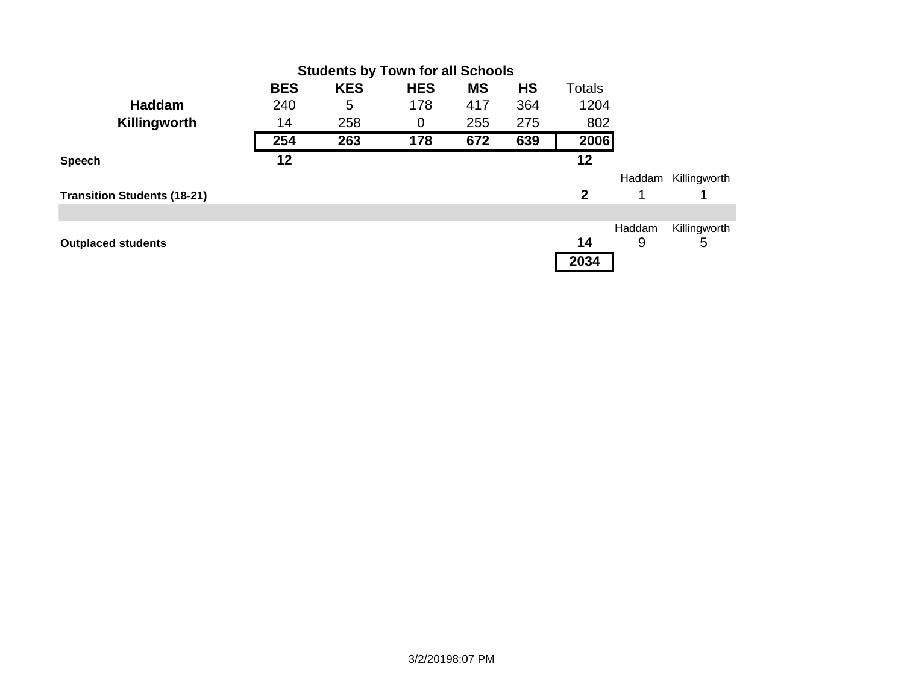|                                    | <b>BES</b> | <b>KES</b> | <b>HES</b> | <b>MS</b> | <b>HS</b> | <b>Totals</b> |        |              |
|------------------------------------|------------|------------|------------|-----------|-----------|---------------|--------|--------------|
| <b>Haddam</b>                      | 240        | 5          | 178        | 417       | 364       | 1204          |        |              |
| Killingworth                       | 14         | 258        | 0          | 255       | 275       | 802           |        |              |
|                                    | 254        | 263        | 178        | 672       | 639       | 2006          |        |              |
| <b>Speech</b>                      | 12         |            |            |           |           | 12            |        |              |
|                                    |            |            |            |           |           |               | Haddam | Killingworth |
| <b>Transition Students (18-21)</b> |            |            |            |           |           | $\mathbf{2}$  |        |              |
|                                    |            |            |            |           |           |               |        |              |
|                                    |            |            |            |           |           |               | Haddam | Killingworth |
| <b>Outplaced students</b>          |            |            |            |           |           | 14            | 9      | 5            |
|                                    |            |            |            |           |           | 2034          |        |              |